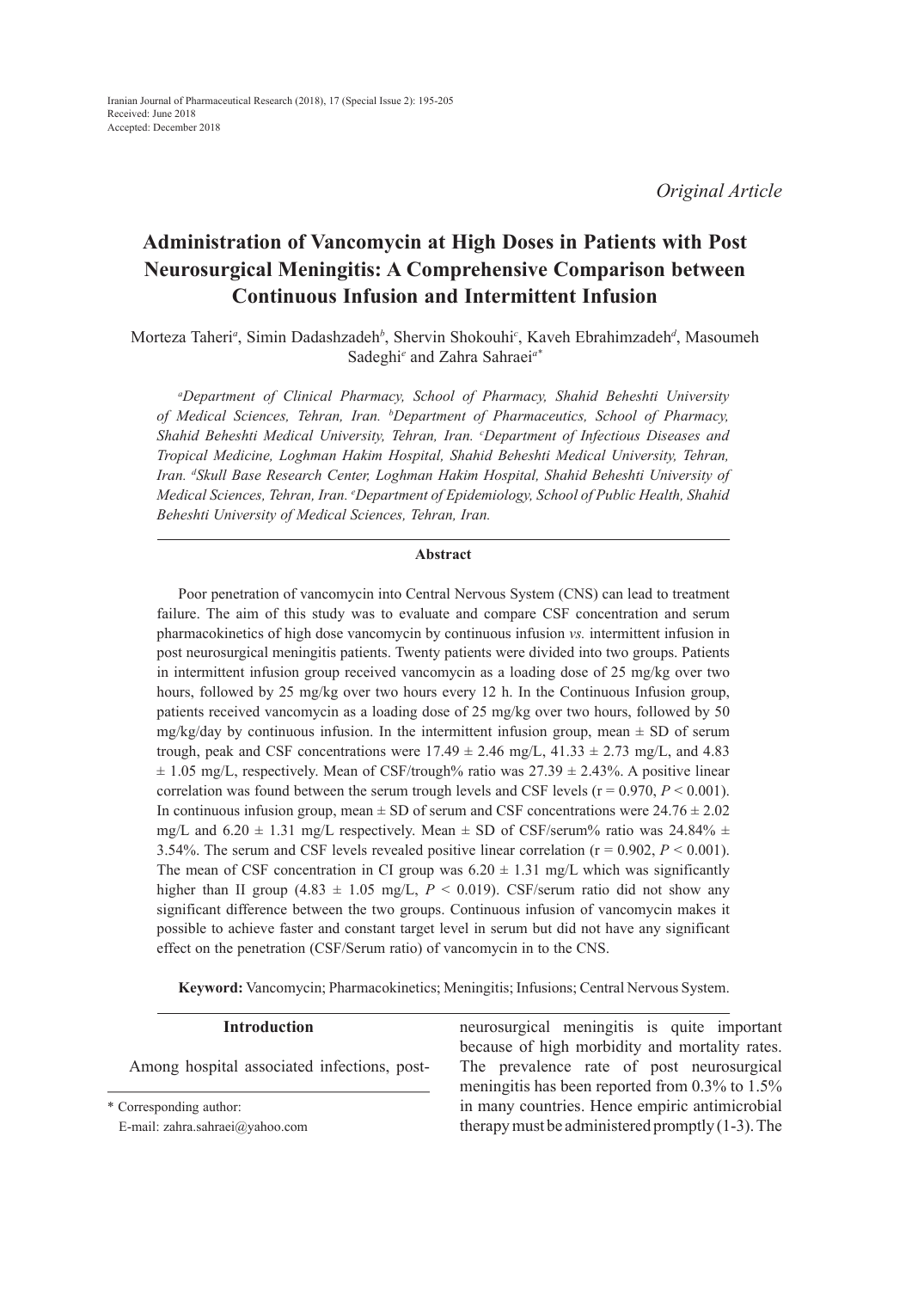# **Administration of Vancomycin at High Doses in Patients with Post Neurosurgical Meningitis: A Comprehensive Comparison between Continuous Infusion and Intermittent Infusion**

Morteza Taheri<sup>a</sup>, Simin Dadashzadeh<sup>b</sup>, Shervin Shokouhi<sup>c</sup>, Kaveh Ebrahimzadeh<sup>d</sup>, Masoumeh Sadeghi*<sup>e</sup>* and Zahra Sahraei*a\**

*a Department of Clinical Pharmacy, School of Pharmacy, Shahid Beheshti University of Medical Sciences, Tehran, Iran. b Department of Pharmaceutics, School of Pharmacy, Shahid Beheshti Medical University, Tehran, Iran. c Department of Infectious Diseases and Tropical Medicine, Loghman Hakim Hospital, Shahid Beheshti Medical University, Tehran, Iran. d Skull Base Research Center, Loghman Hakim Hospital, Shahid Beheshti University of Medical Sciences, Tehran, Iran. e Department of Epidemiology, School of Public Health, Shahid Beheshti University of Medical Sciences, Tehran, Iran.*

## **Abstract**

Poor penetration of vancomycin into Central Nervous System (CNS) can lead to treatment failure. The aim of this study was to evaluate and compare CSF concentration and serum pharmacokinetics of high dose vancomycin by continuous infusion *vs.* intermittent infusion in post neurosurgical meningitis patients. Twenty patients were divided into two groups. Patients in intermittent infusion group received vancomycin as a loading dose of 25 mg/kg over two hours, followed by 25 mg/kg over two hours every 12 h. In the Continuous Infusion group, patients received vancomycin as a loading dose of 25 mg/kg over two hours, followed by 50 mg/kg/day by continuous infusion. In the intermittent infusion group, mean  $\pm$  SD of serum trough, peak and CSF concentrations were  $17.49 \pm 2.46$  mg/L,  $41.33 \pm 2.73$  mg/L, and  $4.83$  $\pm$  1.05 mg/L, respectively. Mean of CSF/trough% ratio was 27.39  $\pm$  2.43%. A positive linear correlation was found between the serum trough levels and CSF levels ( $r = 0.970$ ,  $P < 0.001$ ). In continuous infusion group, mean  $\pm$  SD of serum and CSF concentrations were 24.76  $\pm$  2.02 mg/L and  $6.20 \pm 1.31$  mg/L respectively. Mean  $\pm$  SD of CSF/serum% ratio was 24.84%  $\pm$ 3.54%. The serum and CSF levels revealed positive linear correlation (r = 0.902, *P* < 0.001). The mean of CSF concentration in CI group was  $6.20 \pm 1.31$  mg/L which was significantly higher than II group  $(4.83 \pm 1.05 \text{ mg/L}, P < 0.019)$ . CSF/serum ratio did not show any significant difference between the two groups. Continuous infusion of vancomycin makes it possible to achieve faster and constant target level in serum but did not have any significant effect on the penetration (CSF/Serum ratio) of vancomycin in to the CNS.

**Keyword:** Vancomycin; Pharmacokinetics; Meningitis; Infusions; Central Nervous System.

## **Introduction**

Among hospital associated infections, post-

\* Corresponding author:

E-mail: zahra.sahraei@yahoo.com

neurosurgical meningitis is quite important because of high morbidity and mortality rates. The prevalence rate of post neurosurgical meningitis has been reported from 0.3% to 1.5% in many countries. Hence empiric antimicrobial therapy must be administered promptly (1-3). The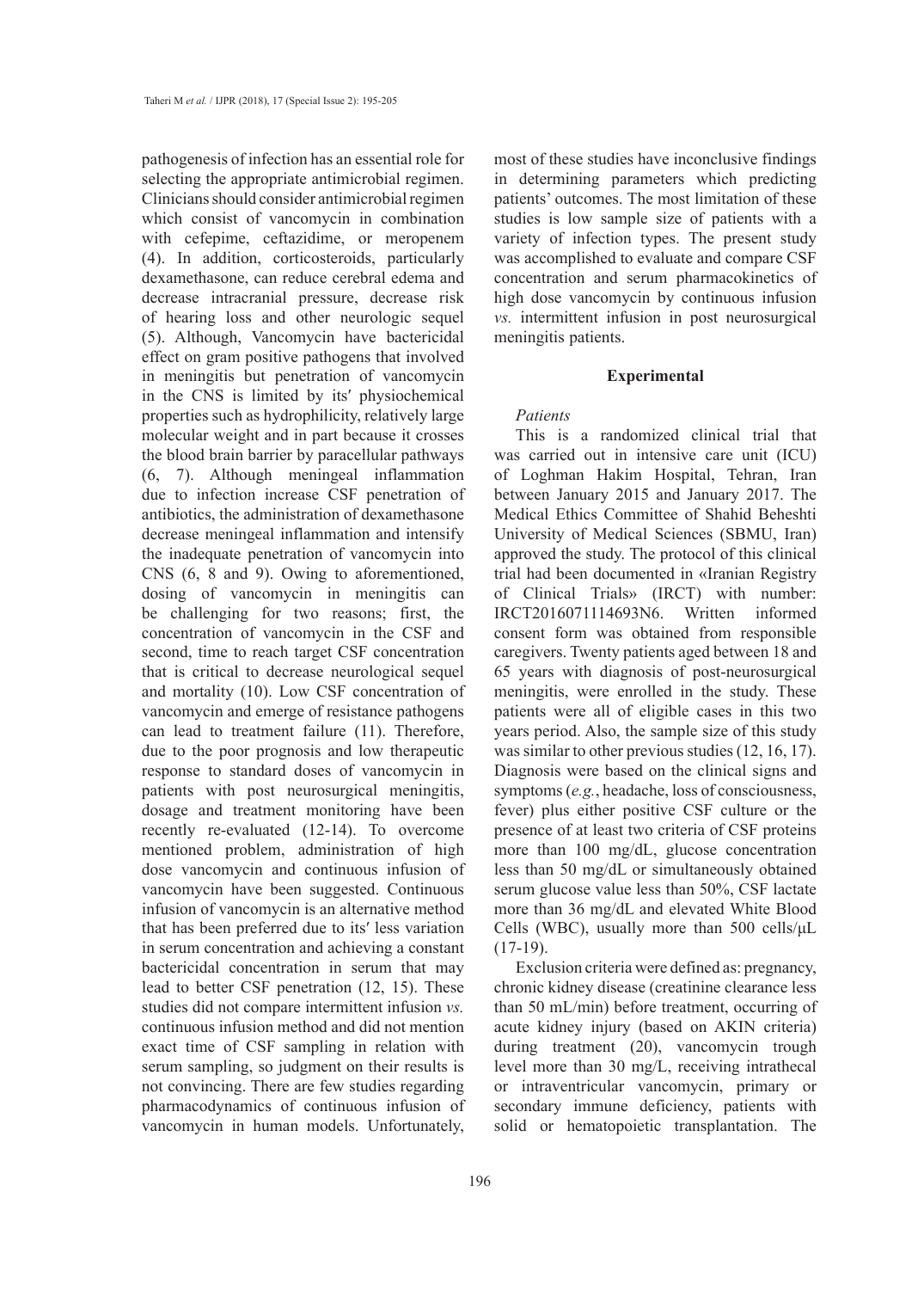pathogenesis of infection has an essential role for selecting the appropriate antimicrobial regimen. Clinicians should consider antimicrobial regimen which consist of vancomycin in combination with cefepime, ceftazidime, or meropenem (4). In addition, corticosteroids, particularly dexamethasone, can reduce cerebral edema and decrease intracranial pressure, decrease risk of hearing loss and other neurologic sequel (5). Although, Vancomycin have bactericidal effect on gram positive pathogens that involved in meningitis but penetration of vancomycin in the CNS is limited by its′ physiochemical properties such as hydrophilicity, relatively large molecular weight and in part because it crosses the blood brain barrier by paracellular pathways (6, 7). Although meningeal inflammation due to infection increase CSF penetration of antibiotics, the administration of dexamethasone decrease meningeal inflammation and intensify the inadequate penetration of vancomycin into CNS (6, 8 and 9). Owing to aforementioned, dosing of vancomycin in meningitis can be challenging for two reasons; first, the concentration of vancomycin in the CSF and second, time to reach target CSF concentration that is critical to decrease neurological sequel and mortality (10). Low CSF concentration of vancomycin and emerge of resistance pathogens can lead to treatment failure (11). Therefore, due to the poor prognosis and low therapeutic response to standard doses of vancomycin in patients with post neurosurgical meningitis, dosage and treatment monitoring have been recently re-evaluated (12-14). To overcome mentioned problem, administration of high dose vancomycin and continuous infusion of vancomycin have been suggested. Continuous infusion of vancomycin is an alternative method that has been preferred due to its′ less variation in serum concentration and achieving a constant bactericidal concentration in serum that may lead to better CSF penetration (12, 15). These studies did not compare intermittent infusion *vs.* continuous infusion method and did not mention exact time of CSF sampling in relation with serum sampling, so judgment on their results is not convincing. There are few studies regarding pharmacodynamics of continuous infusion of vancomycin in human models. Unfortunately, most of these studies have inconclusive findings in determining parameters which predicting patients' outcomes. The most limitation of these studies is low sample size of patients with a variety of infection types. The present study was accomplished to evaluate and compare CSF concentration and serum pharmacokinetics of high dose vancomycin by continuous infusion *vs.* intermittent infusion in post neurosurgical meningitis patients.

## **Experimental**

# *Patients*

This is a randomized clinical trial that was carried out in intensive care unit (ICU) of Loghman Hakim Hospital, Tehran, Iran between January 2015 and January 2017. The Medical Ethics Committee of Shahid Beheshti University of Medical Sciences (SBMU, Iran) approved the study. The protocol of this clinical trial had been documented in «Iranian Registry of Clinical Trials» (IRCT) with number: IRCT2016071114693N6. Written informed consent form was obtained from responsible caregivers. Twenty patients aged between 18 and 65 years with diagnosis of post-neurosurgical meningitis, were enrolled in the study. These patients were all of eligible cases in this two years period. Also, the sample size of this study was similar to other previous studies (12, 16, 17). Diagnosis were based on the clinical signs and symptoms (*e.g.*, headache, loss of consciousness, fever) plus either positive CSF culture or the presence of at least two criteria of CSF proteins more than 100 mg/dL, glucose concentration less than 50 mg/dL or simultaneously obtained serum glucose value less than 50%, CSF lactate more than 36 mg/dL and elevated White Blood Cells (WBC), usually more than 500 cells/μL  $(17-19)$ .

Exclusion criteria were defined as: pregnancy, chronic kidney disease (creatinine clearance less than 50 mL/min) before treatment, occurring of acute kidney injury (based on AKIN criteria) during treatment (20), vancomycin trough level more than 30 mg/L, receiving intrathecal or intraventricular vancomycin, primary or secondary immune deficiency, patients with solid or hematopoietic transplantation. The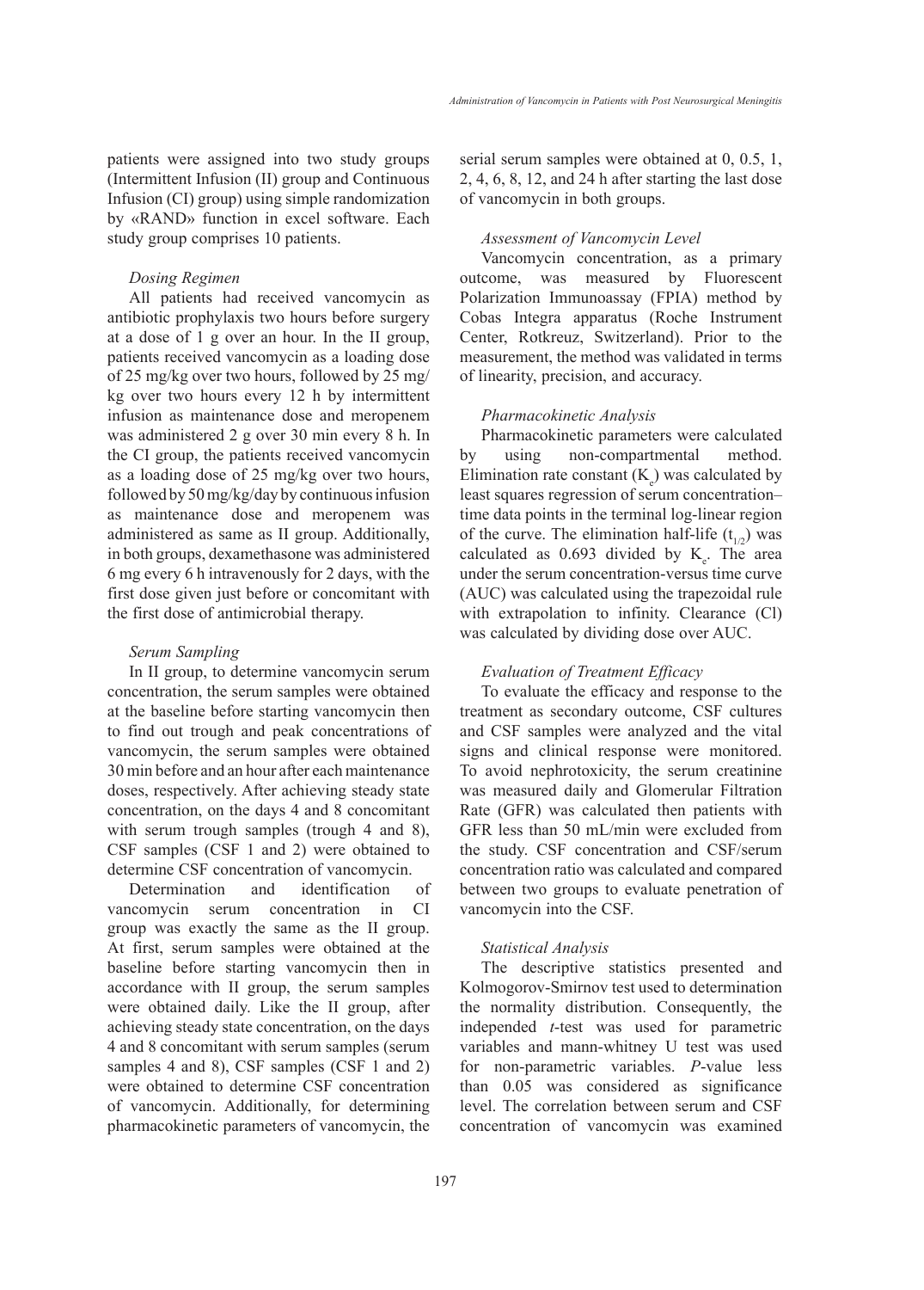patients were assigned into two study groups (Intermittent Infusion (II) group and Continuous Infusion (CI) group) using simple randomization by «RAND» function in excel software. Each study group comprises 10 patients.

## *Dosing Regimen*

All patients had received vancomycin as antibiotic prophylaxis two hours before surgery at a dose of 1 g over an hour. In the II group, patients received vancomycin as a loading dose of 25 mg/kg over two hours, followed by 25 mg/ kg over two hours every 12 h by intermittent infusion as maintenance dose and meropenem was administered 2 g over 30 min every 8 h. In the CI group, the patients received vancomycin as a loading dose of 25 mg/kg over two hours, followed by 50 mg/kg/day by continuous infusion as maintenance dose and meropenem was administered as same as II group. Additionally, in both groups, dexamethasone was administered 6 mg every 6 h intravenously for 2 days, with the first dose given just before or concomitant with the first dose of antimicrobial therapy.

## *Serum Sampling*

In II group, to determine vancomycin serum concentration, the serum samples were obtained at the baseline before starting vancomycin then to find out trough and peak concentrations of vancomycin, the serum samples were obtained 30 min before and an hour after each maintenance doses, respectively. After achieving steady state concentration, on the days 4 and 8 concomitant with serum trough samples (trough 4 and 8), CSF samples (CSF 1 and 2) were obtained to determine CSF concentration of vancomycin.

Determination and identification of vancomycin serum concentration in CI group was exactly the same as the II group. At first, serum samples were obtained at the baseline before starting vancomycin then in accordance with II group, the serum samples were obtained daily. Like the II group, after achieving steady state concentration, on the days 4 and 8 concomitant with serum samples (serum samples 4 and 8), CSF samples (CSF 1 and 2) were obtained to determine CSF concentration of vancomycin. Additionally, for determining pharmacokinetic parameters of vancomycin, the serial serum samples were obtained at 0, 0.5, 1, 2, 4, 6, 8, 12, and 24 h after starting the last dose of vancomycin in both groups.

# *Assessment of Vancomycin Level*

Vancomycin concentration, as a primary outcome, was measured by Fluorescent Polarization Immunoassay (FPIA) method by Cobas Integra apparatus (Roche Instrument Center, Rotkreuz, Switzerland). Prior to the measurement, the method was validated in terms of linearity, precision, and accuracy.

#### *Pharmacokinetic Analysis*

Pharmacokinetic parameters were calculated by using non-compartmental method. Elimination rate constant  $(K_e)$  was calculated by least squares regression of serum concentration– time data points in the terminal log-linear region of the curve. The elimination half-life  $(t_{1/2})$  was calculated as  $0.693$  divided by  $K_e$ . The area under the serum concentration-versus time curve (AUC) was calculated using the trapezoidal rule with extrapolation to infinity. Clearance (Cl) was calculated by dividing dose over AUC.

# *Evaluation of Treatment Efficacy*

To evaluate the efficacy and response to the treatment as secondary outcome, CSF cultures and CSF samples were analyzed and the vital signs and clinical response were monitored. To avoid nephrotoxicity, the serum creatinine was measured daily and Glomerular Filtration Rate (GFR) was calculated then patients with GFR less than 50 mL/min were excluded from the study. CSF concentration and CSF/serum concentration ratio was calculated and compared between two groups to evaluate penetration of vancomycin into the CSF.

### *Statistical Analysis*

The descriptive statistics presented and Kolmogorov-Smirnov test used to determination the normality distribution. Consequently, the independed *t*-test was used for parametric variables and mann-whitney U test was used for non-parametric variables. *P*-value less than 0.05 was considered as significance level. The correlation between serum and CSF concentration of vancomycin was examined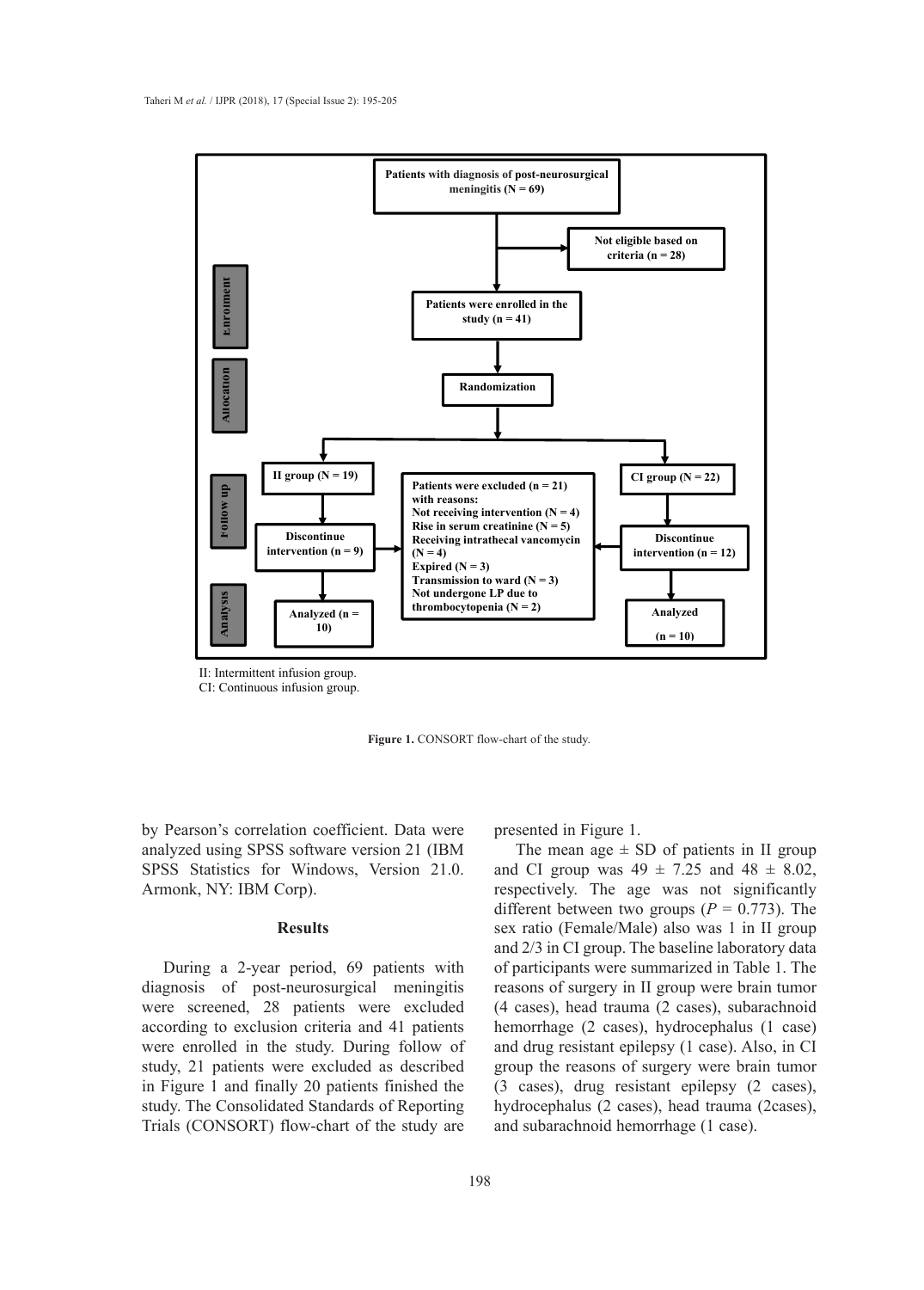

II: Intermittent infusion group.

CI: Continuous infusion group.

Figure 1. CONSORT flow-chart of the study.

by Pearson's correlation coefficient. Data were analyzed using SPSS software version 21 (IBM SPSS Statistics for Windows, Version 21.0. Armonk, NY: IBM Corp).

# **Results**

During a 2-year period, 69 patients with diagnosis of post-neurosurgical meningitis were screened, 28 patients were excluded according to exclusion criteria and 41 patients were enrolled in the study. During follow of study, 21 patients were excluded as described in Figure 1 and finally 20 patients finished the study. The Consolidated Standards of Reporting Trials (CONSORT) flow-chart of the study are

presented in Figure 1.

The mean age  $\pm$  SD of patients in II group and CI group was  $49 \pm 7.25$  and  $48 \pm 8.02$ , respectively. The age was not significantly different between two groups  $(P = 0.773)$ . The sex ratio (Female/Male) also was 1 in II group and 2/3 in CI group. The baseline laboratory data of participants were summarized in Table 1. The reasons of surgery in II group were brain tumor (4 cases), head trauma (2 cases), subarachnoid hemorrhage (2 cases), hydrocephalus (1 case) and drug resistant epilepsy (1 case). Also, in CI group the reasons of surgery were brain tumor (3 cases), drug resistant epilepsy (2 cases), hydrocephalus (2 cases), head trauma (2cases), and subarachnoid hemorrhage (1 case).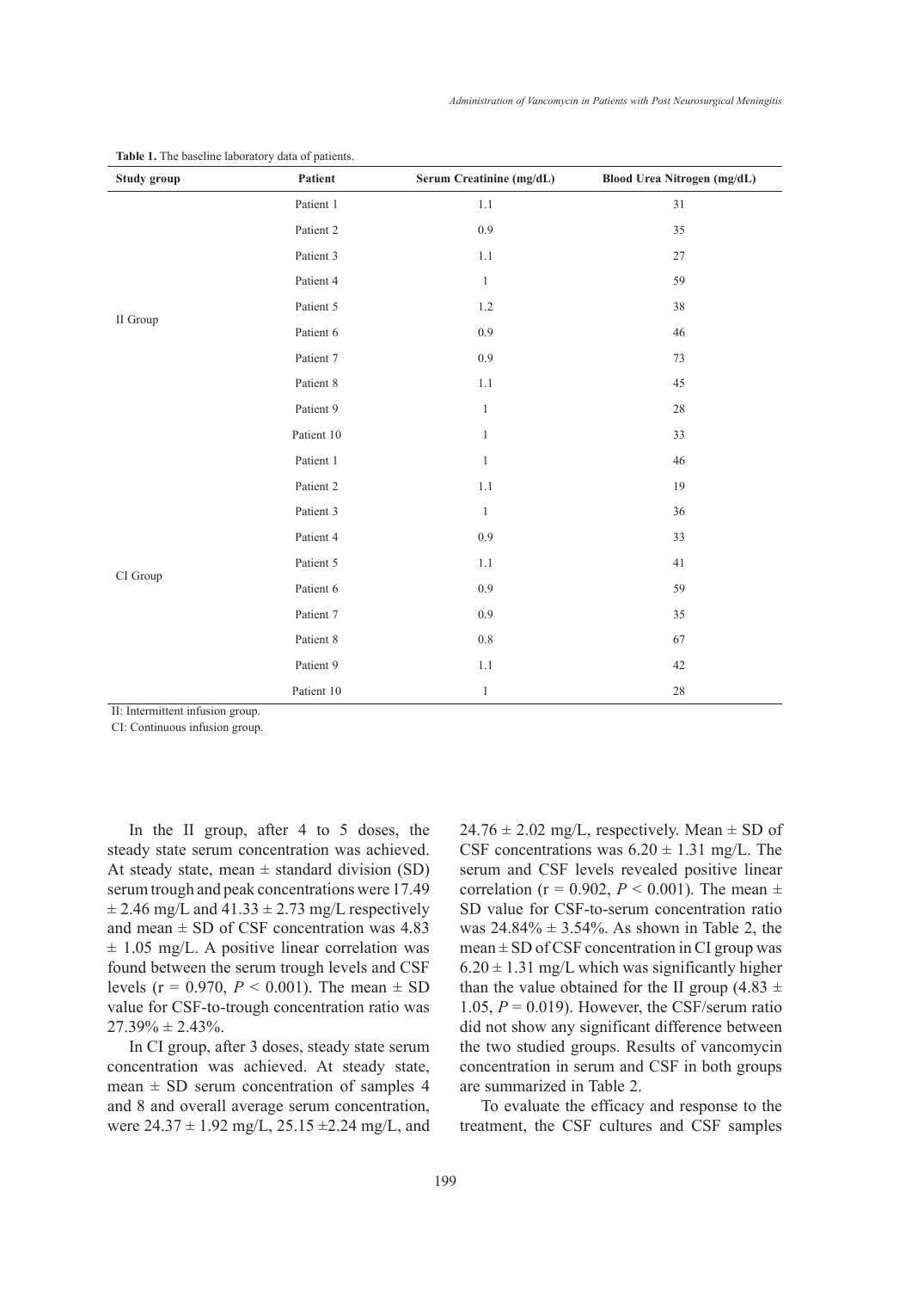| Study group | Patient    | Serum Creatinine (mg/dL) | Blood Urea Nitrogen (mg/dL) |
|-------------|------------|--------------------------|-----------------------------|
|             | Patient 1  | $1.1\,$                  | 31                          |
|             | Patient 2  | 0.9                      | 35                          |
|             | Patient 3  | $1.1\,$                  | $27\,$                      |
|             | Patient 4  | $\,1$                    | 59                          |
|             | Patient 5  | $1.2\,$                  | 38                          |
| II Group    | Patient 6  | 0.9                      | $46\,$                      |
|             | Patient 7  | 0.9                      | 73                          |
|             | Patient 8  | $1.1\,$                  | 45                          |
|             | Patient 9  | $\mathbf{1}$             | $28\,$                      |
|             | Patient 10 | $\mathbf{1}$             | 33                          |
|             | Patient 1  | $\mathbf{1}$             | $46\,$                      |
|             | Patient 2  | $1.1\,$                  | 19                          |
|             | Patient 3  | $\mathbf{1}$             | 36                          |
|             | Patient 4  | 0.9                      | 33                          |
|             | Patient 5  | $1.1\,$                  | 41                          |
| CI Group    | Patient 6  | 0.9                      | 59                          |
|             | Patient 7  | 0.9                      | 35                          |
|             | Patient 8  | $0.8\,$                  | 67                          |
|             | Patient 9  | $1.1\,$                  | 42                          |
|             | Patient 10 | $\mathbf{1}$             | $28\,$                      |

**Table 1.** The baseline laboratory data of patients.

II: Intermittent infusion group.

CI: Continuous infusion group.

In the II group, after 4 to 5 doses, the steady state serum concentration was achieved. At steady state, mean  $\pm$  standard division (SD) serum trough and peak concentrations were 17.49  $\pm$  2.46 mg/L and 41.33  $\pm$  2.73 mg/L respectively and mean  $\pm$  SD of CSF concentration was 4.83  $\pm$  1.05 mg/L. A positive linear correlation was found between the serum trough levels and CSF levels ( $r = 0.970$ ,  $P < 0.001$ ). The mean  $\pm$  SD value for CSF-to-trough concentration ratio was  $27.39\% \pm 2.43\%$ .

In CI group, after 3 doses, steady state serum concentration was achieved. At steady state, mean  $\pm$  SD serum concentration of samples 4 and 8 and overall average serum concentration, were  $24.37 \pm 1.92$  mg/L,  $25.15 \pm 2.24$  mg/L, and  $24.76 \pm 2.02$  mg/L, respectively. Mean  $\pm$  SD of CSF concentrations was  $6.20 \pm 1.31$  mg/L. The serum and CSF levels revealed positive linear correlation ( $r = 0.902$ ,  $P < 0.001$ ). The mean  $\pm$ SD value for CSF-to-serum concentration ratio was  $24.84\% \pm 3.54\%$ . As shown in Table 2, the  $mean \pm SD$  of CSF concentration in CI group was  $6.20 \pm 1.31$  mg/L which was significantly higher than the value obtained for the II group (4.83  $\pm$ 1.05,  $P = 0.019$ ). However, the CSF/serum ratio did not show any significant difference between the two studied groups. Results of vancomycin concentration in serum and CSF in both groups are summarized in Table 2.

To evaluate the efficacy and response to the treatment, the CSF cultures and CSF samples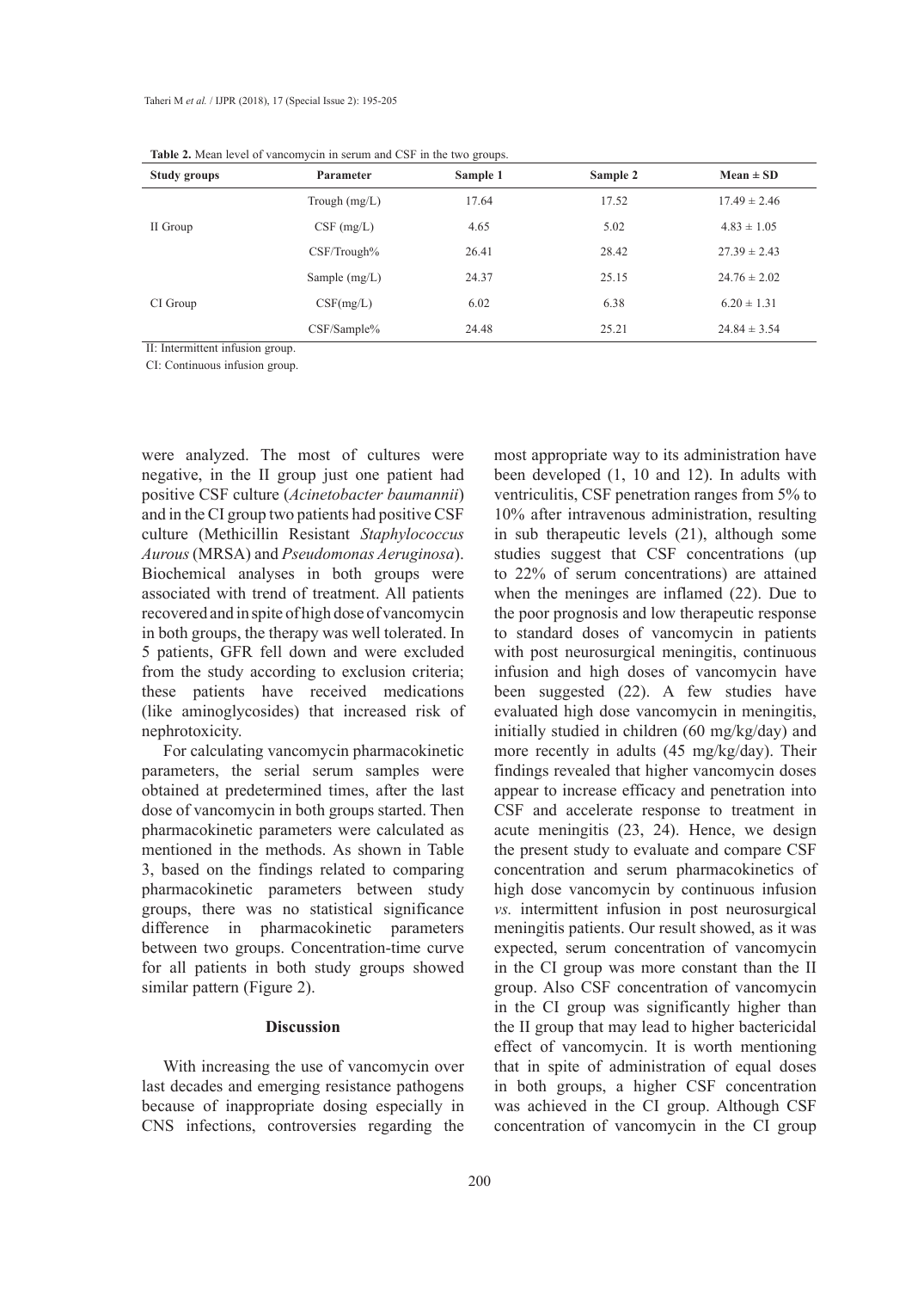| Study groups | Parameter       | Sample 1 | Sample 2 | $Mean \pm SD$    |
|--------------|-----------------|----------|----------|------------------|
|              | Trough $(mg/L)$ | 17.64    | 17.52    | $17.49 \pm 2.46$ |
| II Group     | $CSF$ (mg/L)    | 4.65     | 5.02     | $4.83 \pm 1.05$  |
|              | CSF/Trough%     | 26.41    | 28.42    | $27.39 \pm 2.43$ |
|              | Sample $(mg/L)$ | 24.37    | 25.15    | $24.76 \pm 2.02$ |
| CI Group     | CSF(mg/L)       | 6.02     | 6.38     | $6.20 \pm 1.31$  |
|              | CSF/Sample%     | 24.48    | 25.21    | $24.84 \pm 3.54$ |

**Table 2.** Mean level of vancomycin in serum and CSF in the two groups.

II: Intermittent infusion group.

CI: Continuous infusion group.

were analyzed. The most of cultures were negative, in the II group just one patient had positive CSF culture (*Acinetobacter baumannii*) and in the CI group two patients had positive CSF culture (Methicillin Resistant *Staphylococcus Aurous* (MRSA) and *Pseudomonas Aeruginosa*). Biochemical analyses in both groups were associated with trend of treatment. All patients recovered and in spite of high dose of vancomycin in both groups, the therapy was well tolerated. In 5 patients, GFR fell down and were excluded from the study according to exclusion criteria; these patients have received medications (like aminoglycosides) that increased risk of nephrotoxicity.

For calculating vancomycin pharmacokinetic parameters, the serial serum samples were obtained at predetermined times, after the last dose of vancomycin in both groups started. Then pharmacokinetic parameters were calculated as mentioned in the methods. As shown in Table 3, based on the findings related to comparing pharmacokinetic parameters between study groups, there was no statistical significance difference in pharmacokinetic parameters between two groups. Concentration-time curve for all patients in both study groups showed similar pattern (Figure 2).

# **Discussion**

With increasing the use of vancomycin over last decades and emerging resistance pathogens because of inappropriate dosing especially in CNS infections, controversies regarding the

most appropriate way to its administration have been developed (1, 10 and 12). In adults with ventriculitis, CSF penetration ranges from 5% to 10% after intravenous administration, resulting in sub therapeutic levels (21), although some studies suggest that CSF concentrations (up to 22% of serum concentrations) are attained when the meninges are inflamed (22). Due to the poor prognosis and low therapeutic response to standard doses of vancomycin in patients with post neurosurgical meningitis, continuous infusion and high doses of vancomycin have been suggested (22). A few studies have evaluated high dose vancomycin in meningitis, initially studied in children (60 mg/kg/day) and more recently in adults (45 mg/kg/day). Their findings revealed that higher vancomycin doses appear to increase efficacy and penetration into CSF and accelerate response to treatment in acute meningitis (23, 24). Hence, we design the present study to evaluate and compare CSF concentration and serum pharmacokinetics of high dose vancomycin by continuous infusion *vs.* intermittent infusion in post neurosurgical meningitis patients. Our result showed, as it was expected, serum concentration of vancomycin in the CI group was more constant than the II group. Also CSF concentration of vancomycin in the CI group was significantly higher than the II group that may lead to higher bactericidal effect of vancomycin. It is worth mentioning that in spite of administration of equal doses in both groups, a higher CSF concentration was achieved in the CI group. Although CSF concentration of vancomycin in the CI group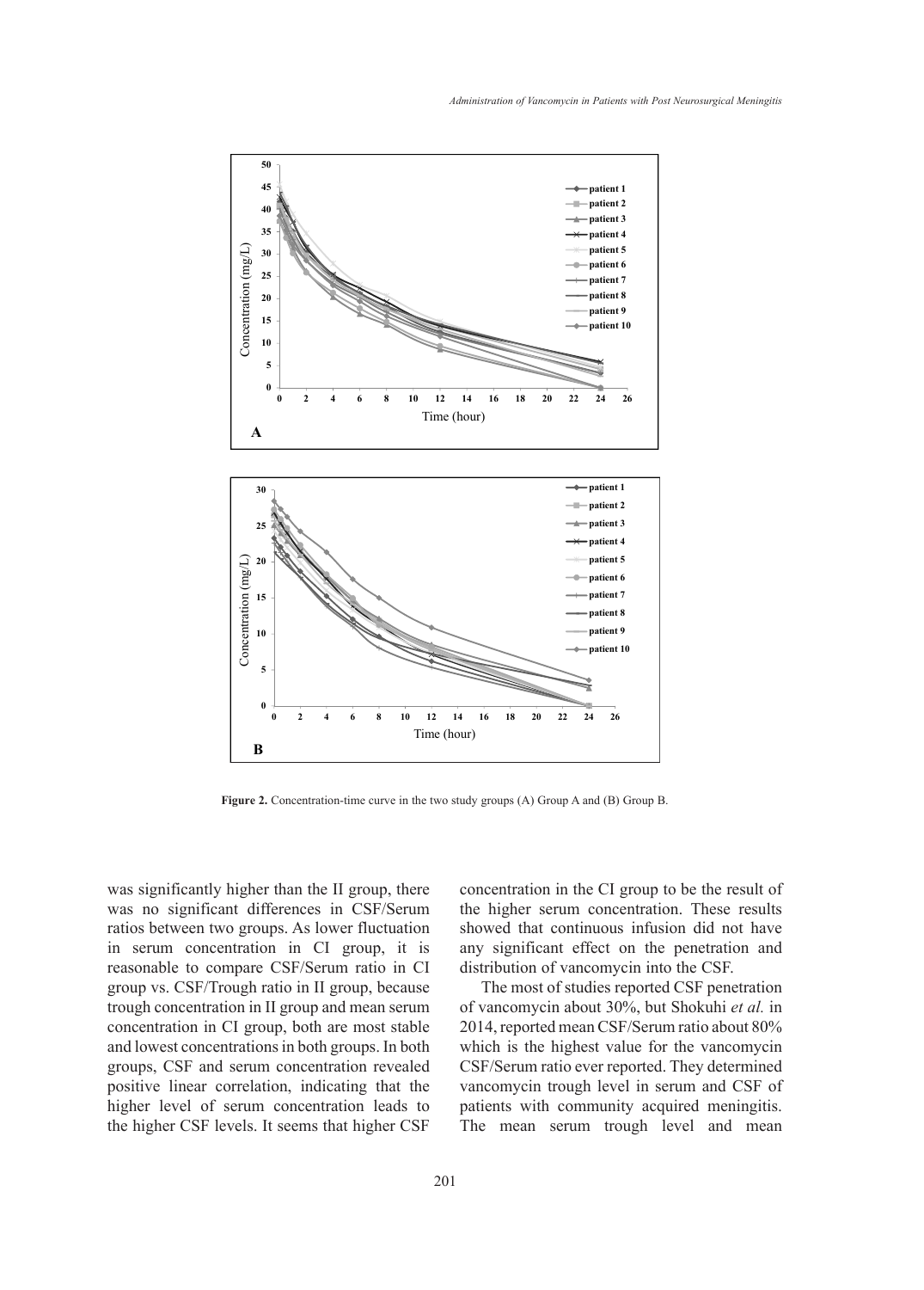

**Figure 2.** Concentration-time curve in the two study groups (A) Group A and (B) Group B.

was significantly higher than the II group, there was no significant differences in CSF/Serum ratios between two groups. As lower fluctuation in serum concentration in CI group, it is reasonable to compare CSF/Serum ratio in CI group vs. CSF/Trough ratio in II group, because trough concentration in II group and mean serum concentration in CI group, both are most stable and lowest concentrations in both groups. In both groups, CSF and serum concentration revealed positive linear correlation, indicating that the higher level of serum concentration leads to the higher CSF levels. It seems that higher CSF

concentration in the CI group to be the result of the higher serum concentration. These results showed that continuous infusion did not have any significant effect on the penetration and distribution of vancomycin into the CSF.

The most of studies reported CSF penetration of vancomycin about 30%, but Shokuhi *et al.* in 2014, reported mean CSF/Serum ratio about 80% which is the highest value for the vancomycin CSF/Serum ratio ever reported. They determined vancomycin trough level in serum and CSF of patients with community acquired meningitis. The mean serum trough level and mean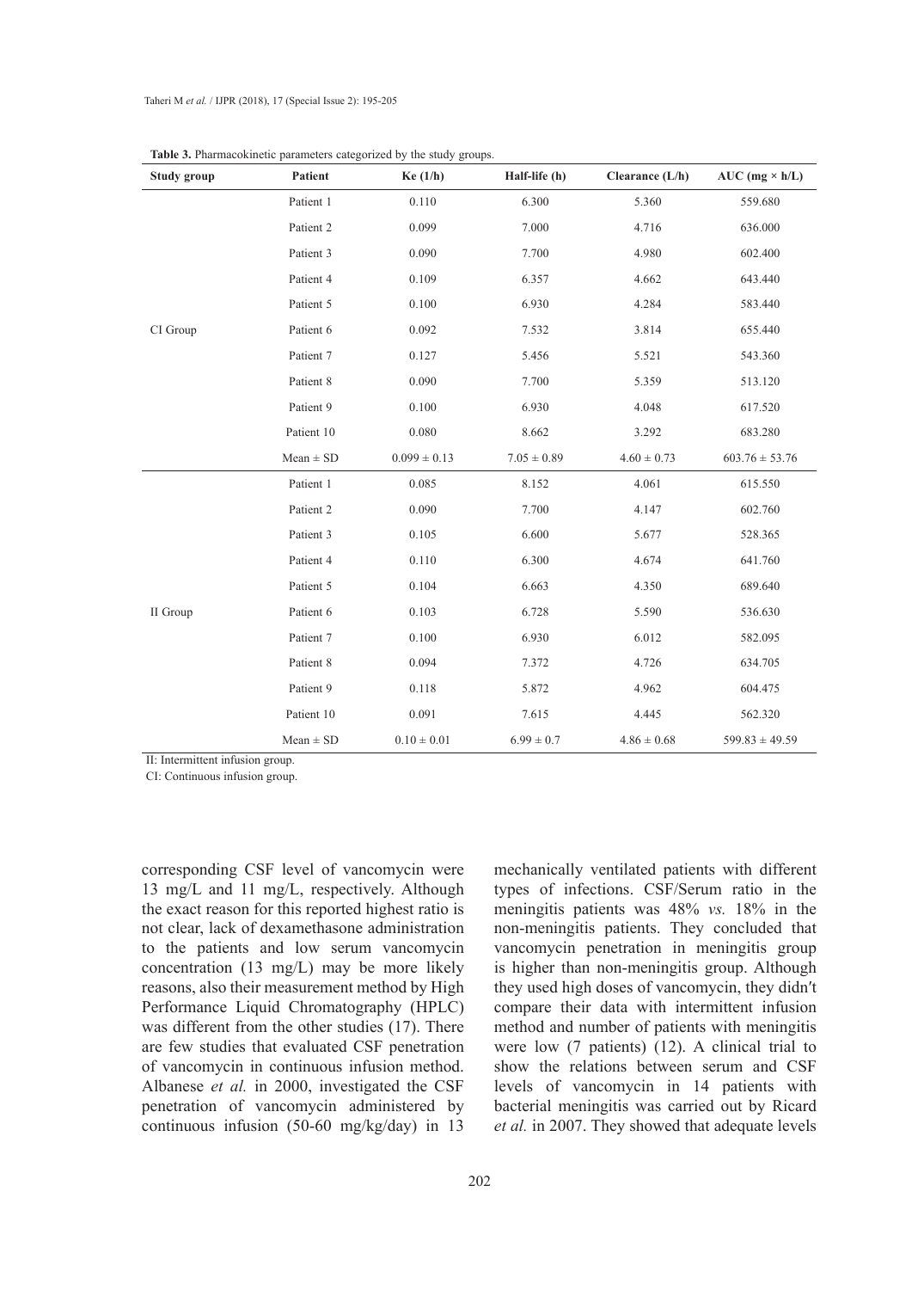| Study group | Patient       | Ke(1/h)          | Half-life (h)   | Clearance (L/h) | $AUC$ (mg $\times$ h/L) |
|-------------|---------------|------------------|-----------------|-----------------|-------------------------|
| CI Group    | Patient 1     | 0.110            | 6.300           | 5.360           | 559.680                 |
|             | Patient 2     | 0.099            | 7.000           | 4.716           | 636.000                 |
|             | Patient 3     | 0.090            | 7.700           | 4.980           | 602.400                 |
|             | Patient 4     | 0.109            | 6.357           | 4.662           | 643.440                 |
|             | Patient 5     | 0.100            | 6.930           | 4.284           | 583.440                 |
|             | Patient 6     | 0.092            | 7.532           | 3.814           | 655.440                 |
|             | Patient 7     | 0.127            | 5.456           | 5.521           | 543.360                 |
|             | Patient 8     | 0.090            | 7.700           | 5.359           | 513.120                 |
|             | Patient 9     | 0.100            | 6.930           | 4.048           | 617.520                 |
|             | Patient 10    | 0.080            | 8.662           | 3.292           | 683.280                 |
|             | $Mean \pm SD$ | $0.099 \pm 0.13$ | $7.05 \pm 0.89$ | $4.60 \pm 0.73$ | $603.76 \pm 53.76$      |
| II Group    | Patient 1     | 0.085            | 8.152           | 4.061           | 615.550                 |
|             | Patient 2     | 0.090            | 7.700           | 4.147           | 602.760                 |
|             | Patient 3     | 0.105            | 6.600           | 5.677           | 528.365                 |
|             | Patient 4     | 0.110            | 6.300           | 4.674           | 641.760                 |
|             | Patient 5     | 0.104            | 6.663           | 4.350           | 689.640                 |
|             | Patient 6     | 0.103            | 6.728           | 5.590           | 536.630                 |
|             | Patient 7     | 0.100            | 6.930           | 6.012           | 582.095                 |
|             | Patient 8     | 0.094            | 7.372           | 4.726           | 634.705                 |
|             | Patient 9     | 0.118            | 5.872           | 4.962           | 604.475                 |
|             | Patient 10    | 0.091            | 7.615           | 4.445           | 562.320                 |
|             | $Mean \pm SD$ | $0.10 \pm 0.01$  | $6.99 \pm 0.7$  | $4.86 \pm 0.68$ | $599.83 \pm 49.59$      |

**Table 3.** Pharmacokinetic parameters categorized by the study groups.

II: Intermittent infusion group.

CI: Continuous infusion group.

corresponding CSF level of vancomycin were 13 mg/L and 11 mg/L, respectively. Although the exact reason for this reported highest ratio is not clear, lack of dexamethasone administration to the patients and low serum vancomycin concentration (13 mg/L) may be more likely reasons, also their measurement method by High Performance Liquid Chromatography (HPLC) was different from the other studies (17). There are few studies that evaluated CSF penetration of vancomycin in continuous infusion method. Albanese *et al.* in 2000, investigated the CSF penetration of vancomycin administered by continuous infusion (50-60 mg/kg/day) in 13

mechanically ventilated patients with different types of infections. CSF/Serum ratio in the meningitis patients was 48% *vs.* 18% in the non-meningitis patients. They concluded that vancomycin penetration in meningitis group is higher than non-meningitis group. Although they used high doses of vancomycin, they didn′t compare their data with intermittent infusion method and number of patients with meningitis were low (7 patients) (12). A clinical trial to show the relations between serum and CSF levels of vancomycin in 14 patients with bacterial meningitis was carried out by Ricard *et al.* in 2007. They showed that adequate levels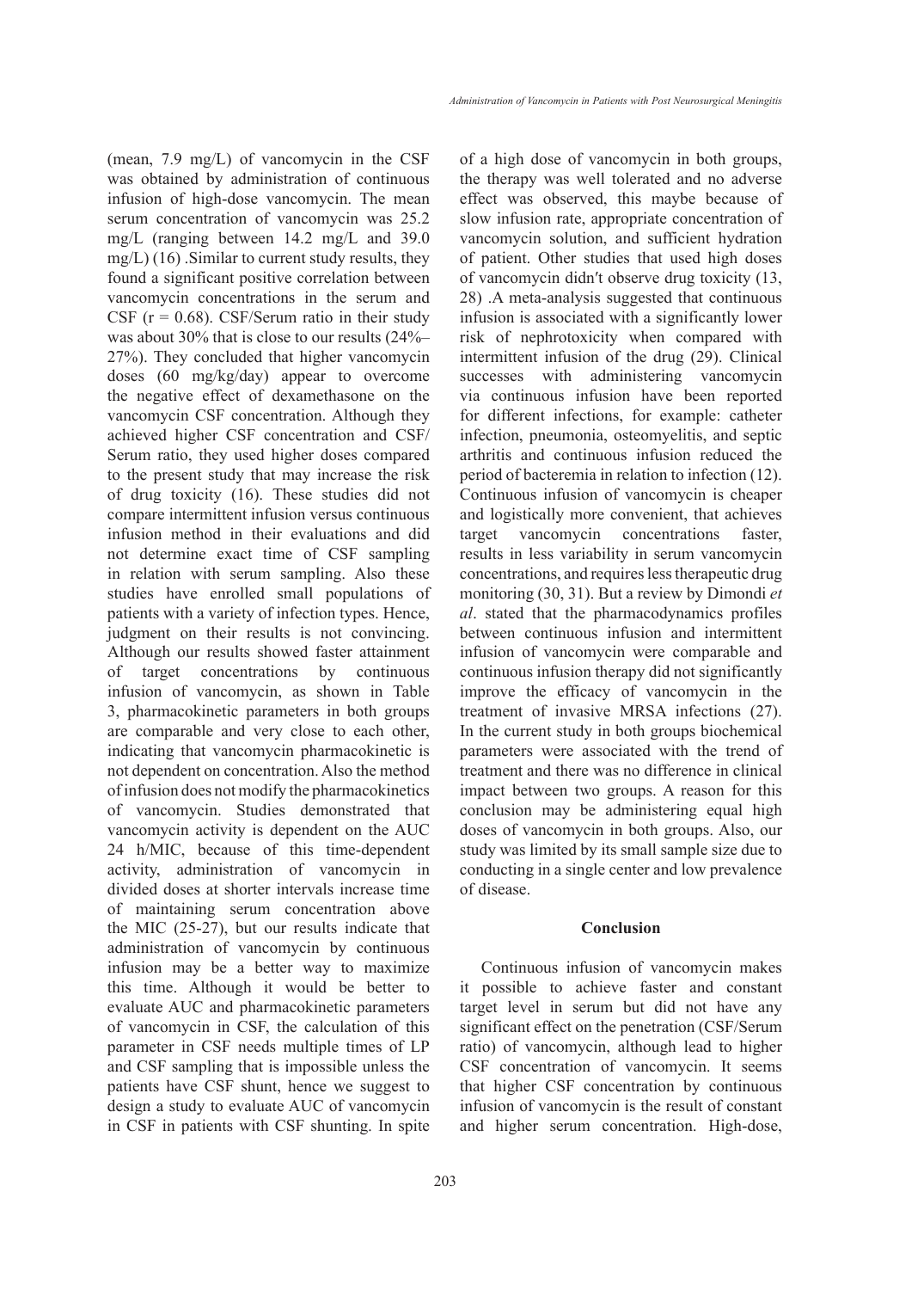(mean, 7.9 mg/L) of vancomycin in the CSF was obtained by administration of continuous infusion of high-dose vancomycin. The mean serum concentration of vancomycin was 25.2 mg/L (ranging between 14.2 mg/L and 39.0 mg/L)  $(16)$ . Similar to current study results, they found a significant positive correlation between vancomycin concentrations in the serum and CSF  $(r = 0.68)$ . CSF/Serum ratio in their study was about 30% that is close to our results (24%– 27%). They concluded that higher vancomycin doses (60 mg/kg/day) appear to overcome the negative effect of dexamethasone on the vancomycin CSF concentration. Although they achieved higher CSF concentration and CSF/ Serum ratio, they used higher doses compared to the present study that may increase the risk of drug toxicity (16). These studies did not compare intermittent infusion versus continuous infusion method in their evaluations and did not determine exact time of CSF sampling in relation with serum sampling. Also these studies have enrolled small populations of patients with a variety of infection types. Hence, judgment on their results is not convincing. Although our results showed faster attainment of target concentrations by continuous infusion of vancomycin, as shown in Table 3, pharmacokinetic parameters in both groups are comparable and very close to each other, indicating that vancomycin pharmacokinetic is not dependent on concentration. Also the method of infusion does not modify the pharmacokinetics of vancomycin. Studies demonstrated that vancomycin activity is dependent on the AUC 24 h/MIC, because of this time-dependent activity, administration of vancomycin in divided doses at shorter intervals increase time of maintaining serum concentration above the MIC (25-27), but our results indicate that administration of vancomycin by continuous infusion may be a better way to maximize this time. Although it would be better to evaluate AUC and pharmacokinetic parameters of vancomycin in CSF, the calculation of this parameter in CSF needs multiple times of LP and CSF sampling that is impossible unless the patients have CSF shunt, hence we suggest to design a study to evaluate AUC of vancomycin in CSF in patients with CSF shunting. In spite of a high dose of vancomycin in both groups, the therapy was well tolerated and no adverse effect was observed, this maybe because of slow infusion rate, appropriate concentration of vancomycin solution, and sufficient hydration of patient. Other studies that used high doses of vancomycin didn′t observe drug toxicity (13, 28) .A meta-analysis suggested that continuous infusion is associated with a significantly lower risk of nephrotoxicity when compared with intermittent infusion of the drug (29). Clinical successes with administering vancomycin via continuous infusion have been reported for different infections, for example: catheter infection, pneumonia, osteomyelitis, and septic arthritis and continuous infusion reduced the period of bacteremia in relation to infection (12). Continuous infusion of vancomycin is cheaper and logistically more convenient, that achieves target vancomycin concentrations faster, results in less variability in serum vancomycin concentrations, and requires less therapeutic drug monitoring (30, 31). But a review by Dimondi *et al*. stated that the pharmacodynamics profiles between continuous infusion and intermittent infusion of vancomycin were comparable and continuous infusion therapy did not significantly improve the efficacy of vancomycin in the treatment of invasive MRSA infections (27). In the current study in both groups biochemical parameters were associated with the trend of treatment and there was no difference in clinical impact between two groups. A reason for this conclusion may be administering equal high doses of vancomycin in both groups. Also, our study was limited by its small sample size due to conducting in a single center and low prevalence of disease.

#### **Conclusion**

Continuous infusion of vancomycin makes it possible to achieve faster and constant target level in serum but did not have any significant effect on the penetration (CSF/Serum ratio) of vancomycin, although lead to higher CSF concentration of vancomycin. It seems that higher CSF concentration by continuous infusion of vancomycin is the result of constant and higher serum concentration. High-dose,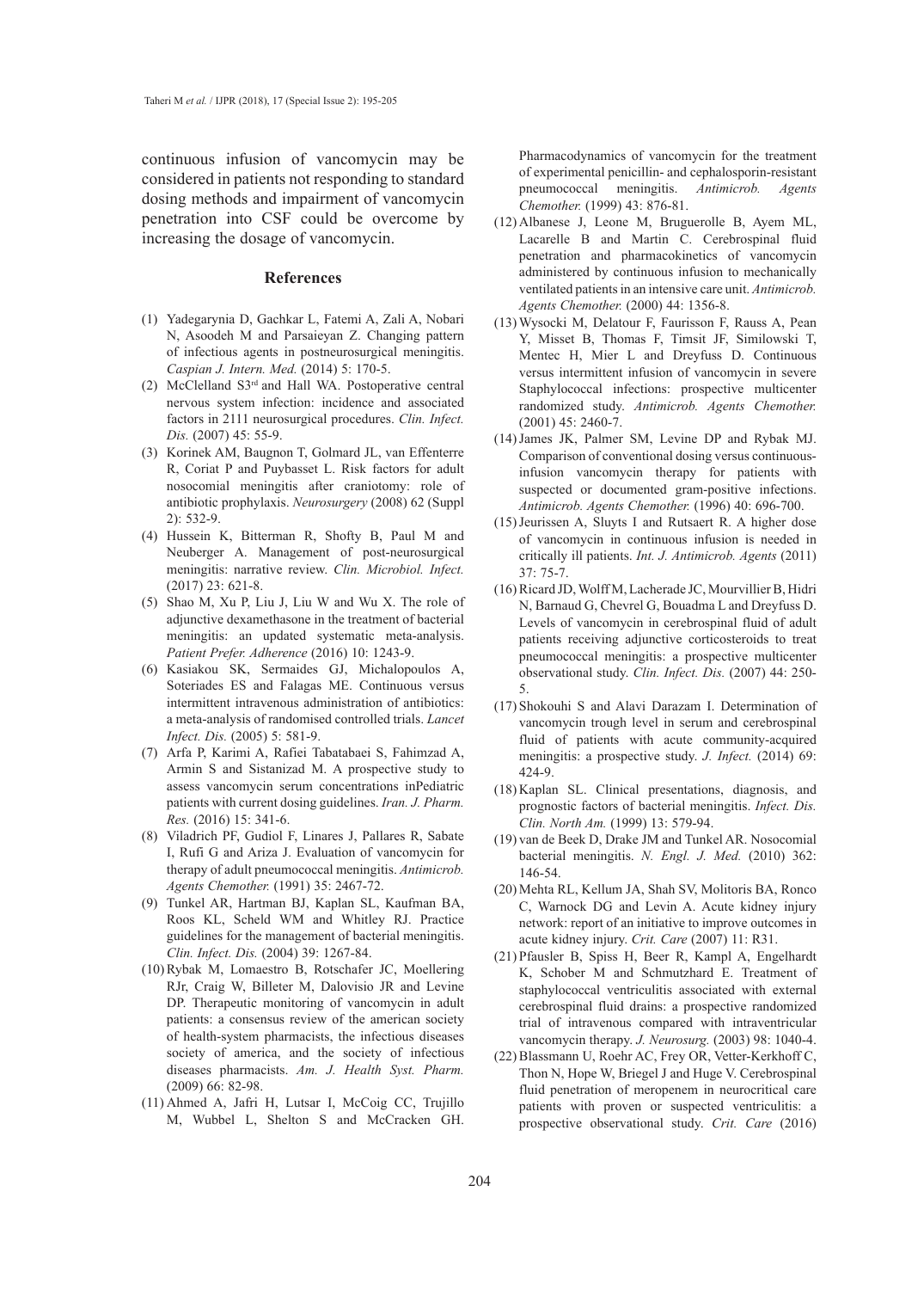continuous infusion of vancomycin may be considered in patients not responding to standard dosing methods and impairment of vancomycin penetration into CSF could be overcome by increasing the dosage of vancomycin.

#### **References**

- (1) Yadegarynia D, Gachkar L, Fatemi A, Zali A, Nobari N, Asoodeh M and Parsaieyan Z. Changing pattern of infectious agents in postneurosurgical meningitis. *Caspian J. Intern. Med.* (2014) 5: 170-5.
- (2) McClelland  $S3<sup>rd</sup>$  and Hall WA. Postoperative central nervous system infection: incidence and associated factors in 2111 neurosurgical procedures. *Clin. Infect. Dis.* (2007) 45: 55-9.
- (3) Korinek AM, Baugnon T, Golmard JL, van Effenterre R, Coriat P and Puybasset L. Risk factors for adult nosocomial meningitis after craniotomy: role of antibiotic prophylaxis. *Neurosurgery* (2008) 62 (Suppl 2): 532-9.
- (4) Hussein K, Bitterman R, Shofty B, Paul M and Neuberger A. Management of post-neurosurgical meningitis: narrative review. *Clin. Microbiol. Infect.*  (2017) 23: 621-8.
- $(5)$  Shao M, Xu P, Liu J, Liu W and Wu X. The role of adjunctive dexamethasone in the treatment of bacterial meningitis: an updated systematic meta-analysis. *Patient Prefer. Adherence* (2016) 10: 1243-9.
- (6) Kasiakou SK, Sermaides GJ, Michalopoulos A, Soteriades ES and Falagas ME. Continuous versus intermittent intravenous administration of antibiotics: a meta-analysis of randomised controlled trials. *Lancet Infect. Dis.* (2005) 5: 581-9.
- Arfa P, Karimi A, Rafiei Tabatabaei S, Fahimzad A, (7) Armin S and Sistanizad M. A prospective study to assess vancomycin serum concentrations inPediatric patients with current dosing guidelines. *Iran. J. Pharm. Res.* (2016) 15: 341-6.
- (8) Viladrich PF, Gudiol F, Linares J, Pallares R, Sabate I, Rufi G and Ariza J. Evaluation of vancomycin for therapy of adult pneumococcal meningitis. *Antimicrob. Agents Chemother.* (1991) 35: 2467-72.
- Tunkel AR, Hartman BJ, Kaplan SL, Kaufman BA, (9) Roos KL, Scheld WM and Whitley RJ. Practice guidelines for the management of bacterial meningitis. *Clin. Infect. Dis.* (2004) 39: 1267-84.
- (10) Rybak M, Lomaestro B, Rotschafer JC, Moellering RJr, Craig W, Billeter M, Dalovisio JR and Levine DP. Therapeutic monitoring of vancomycin in adult patients: a consensus review of the american society of health-system pharmacists, the infectious diseases society of america, and the society of infectious diseases pharmacists. *Am. J. Health Syst. Pharm.*  (2009) 66: 82-98.
- (11) Ahmed A, Jafri H, Lutsar I, McCoig CC, Trujillo M, Wubbel L, Shelton S and McCracken GH.

Pharmacodynamics of vancomycin for the treatment of experimental penicillin- and cephalosporin-resistant pneumococcal meningitis. *Antimicrob. Agents Chemother.* (1999) 43: 876-81.

- Albanese J, Leone M, Bruguerolle B, Ayem ML, (12) Lacarelle B and Martin C. Cerebrospinal fluid penetration and pharmacokinetics of vancomycin administered by continuous infusion to mechanically ventilated patients in an intensive care unit. *Antimicrob. Agents Chemother.* (2000) 44: 1356-8.
- Wysocki M, Delatour F, Faurisson F, Rauss A, Pean (13) Y, Misset B, Thomas F, Timsit JF, Similowski T, Mentec H, Mier L and Dreyfuss D. Continuous versus intermittent infusion of vancomycin in severe Staphylococcal infections: prospective multicenter randomized study. *Antimicrob. Agents Chemother.*  (2001) 45: 2460-7.
- (14) James JK, Palmer SM, Levine DP and Rybak MJ. Comparison of conventional dosing versus continuousinfusion vancomycin therapy for patients with suspected or documented gram-positive infections. *Antimicrob. Agents Chemother.* (1996) 40: 696-700.
- $(15)$  Jeurissen A, Sluyts I and Rutsaert R. A higher dose of vancomycin in continuous infusion is needed in critically ill patients. *Int. J. Antimicrob. Agents* (2011) 37: 75-7.
- (16) Ricard JD, Wolff M, Lacherade JC, Mourvillier B, Hidri N, Barnaud G, Chevrel G, Bouadma L and Dreyfuss D. Levels of vancomycin in cerebrospinal fluid of adult patients receiving adjunctive corticosteroids to treat pneumococcal meningitis: a prospective multicenter observational study. *Clin. Infect. Dis.* (2007) 44: 250- 5.
- (17) Shokouhi S and Alavi Darazam I. Determination of vancomycin trough level in serum and cerebrospinal fluid of patients with acute community-acquired meningitis: a prospective study. *J. Infect.* (2014) 69: 424-9.
- (18) Kaplan SL. Clinical presentations, diagnosis, and prognostic factors of bacterial meningitis. *Infect. Dis. Clin. North Am.* (1999) 13: 579-94.
- (19) van de Beek D, Drake JM and Tunkel AR. Nosocomial bacterial meningitis. *N. Engl. J. Med.* (2010) 362: 146-54.
- (20) Mehta RL, Kellum JA, Shah SV, Molitoris BA, Ronco C, Warnock DG and Levin A. Acute kidney injury network: report of an initiative to improve outcomes in acute kidney injury. *Crit. Care* (2007) 11: R31.
- (21) Pfausler B, Spiss H, Beer R, Kampl A, Engelhardt K, Schober M and Schmutzhard E. Treatment of staphylococcal ventriculitis associated with external cerebrospinal fluid drains: a prospective randomized trial of intravenous compared with intraventricular vancomycin therapy. *J. Neurosurg.* (2003) 98: 1040-4.
- (22) Blassmann U, Roehr AC, Frey OR, Vetter-Kerkhoff C, Thon N, Hope W, Briegel J and Huge V. Cerebrospinal fluid penetration of meropenem in neurocritical care patients with proven or suspected ventriculitis: a prospective observational study. *Crit. Care* (2016)